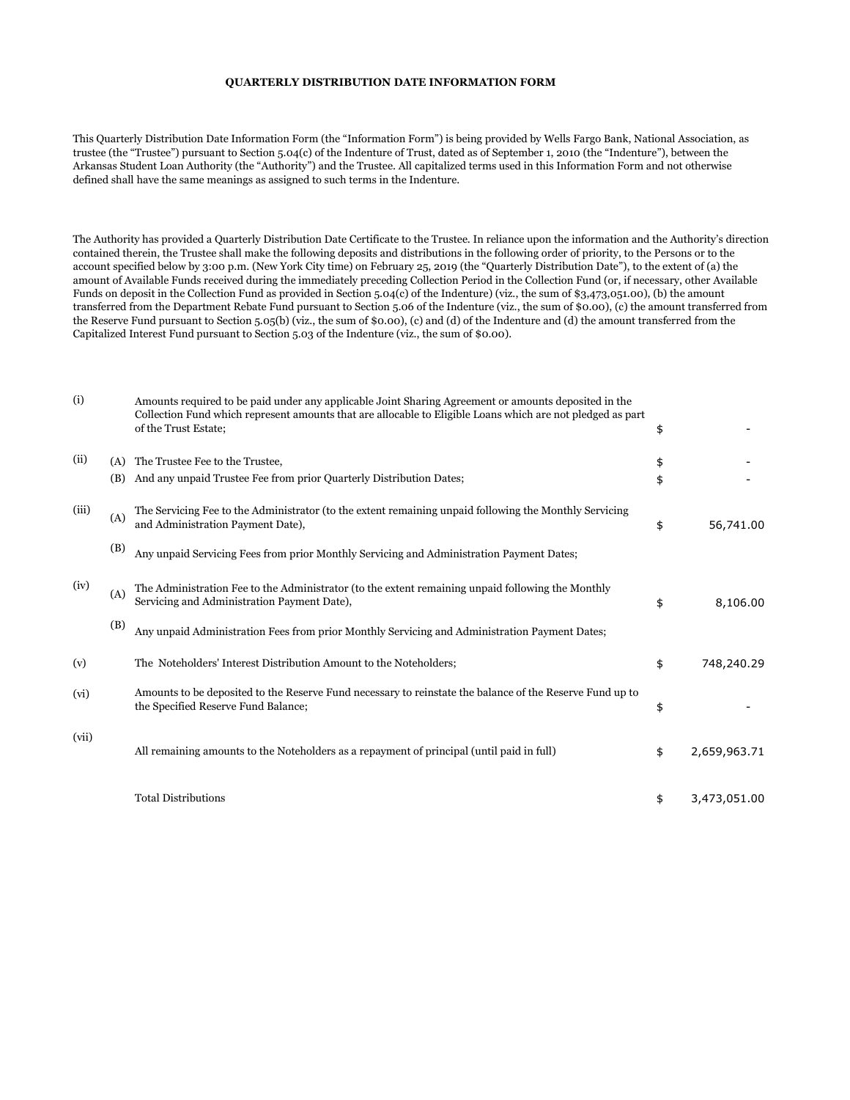## QUARTERLY DISTRIBUTION DATE INFORMATION FORM

This Quarterly Distribution Date Information Form (the "Information Form") is being provided by Wells Fargo Bank, National Association, as trustee (the "Trustee") pursuant to Section 5.04(c) of the Indenture of Trust, dated as of September 1, 2010 (the "Indenture"), between the Arkansas Student Loan Authority (the "Authority") and the Trustee. All capitalized terms used in this Information Form and not otherwise defined shall have the same meanings as assigned to such terms in the Indenture.

The Authority has provided a Quarterly Distribution Date Certificate to the Trustee. In reliance upon the information and the Authority's direction contained therein, the Trustee shall make the following deposits and distributions in the following order of priority, to the Persons or to the account specified below by 3:00 p.m. (New York City time) on February 25, 2019 (the "Quarterly Distribution Date"), to the extent of (a) the amount of Available Funds received during the immediately preceding Collection Period in the Collection Fund (or, if necessary, other Available Funds on deposit in the Collection Fund as provided in Section 5.04(c) of the Indenture) (viz., the sum of \$3,473,051.00), (b) the amount transferred from the Department Rebate Fund pursuant to Section 5.06 of the Indenture (viz., the sum of \$0.00), (c) the amount transferred from the Reserve Fund pursuant to Section 5.05(b) (viz., the sum of \$0.00), (c) and (d) of the Indenture and (d) the amount transferred from the Capitalized Interest Fund pursuant to Section 5.03 of the Indenture (viz., the sum of \$0.00).

| (i)   |     | Amounts required to be paid under any applicable Joint Sharing Agreement or amounts deposited in the<br>Collection Fund which represent amounts that are allocable to Eligible Loans which are not pledged as part<br>of the Trust Estate; | \$                 |
|-------|-----|--------------------------------------------------------------------------------------------------------------------------------------------------------------------------------------------------------------------------------------------|--------------------|
| (ii)  | (A) | The Trustee Fee to the Trustee,                                                                                                                                                                                                            | \$                 |
|       | (B) | And any unpaid Trustee Fee from prior Quarterly Distribution Dates;                                                                                                                                                                        | \$                 |
| (iii) | (A) | The Servicing Fee to the Administrator (to the extent remaining unpaid following the Monthly Servicing<br>and Administration Payment Date),                                                                                                | \$<br>56,741.00    |
|       | (B) | Any unpaid Servicing Fees from prior Monthly Servicing and Administration Payment Dates;                                                                                                                                                   |                    |
| (iv)  | (A) | The Administration Fee to the Administrator (to the extent remaining unpaid following the Monthly<br>Servicing and Administration Payment Date),                                                                                           | \$<br>8,106.00     |
|       | (B) | Any unpaid Administration Fees from prior Monthly Servicing and Administration Payment Dates;                                                                                                                                              |                    |
| (v)   |     | The Noteholders' Interest Distribution Amount to the Noteholders;                                                                                                                                                                          | \$<br>748,240.29   |
| (vi)  |     | Amounts to be deposited to the Reserve Fund necessary to reinstate the balance of the Reserve Fund up to<br>the Specified Reserve Fund Balance;                                                                                            | \$                 |
| (vii) |     | All remaining amounts to the Noteholders as a repayment of principal (until paid in full)                                                                                                                                                  | \$<br>2,659,963.71 |
|       |     | <b>Total Distributions</b>                                                                                                                                                                                                                 | \$<br>3,473,051.00 |